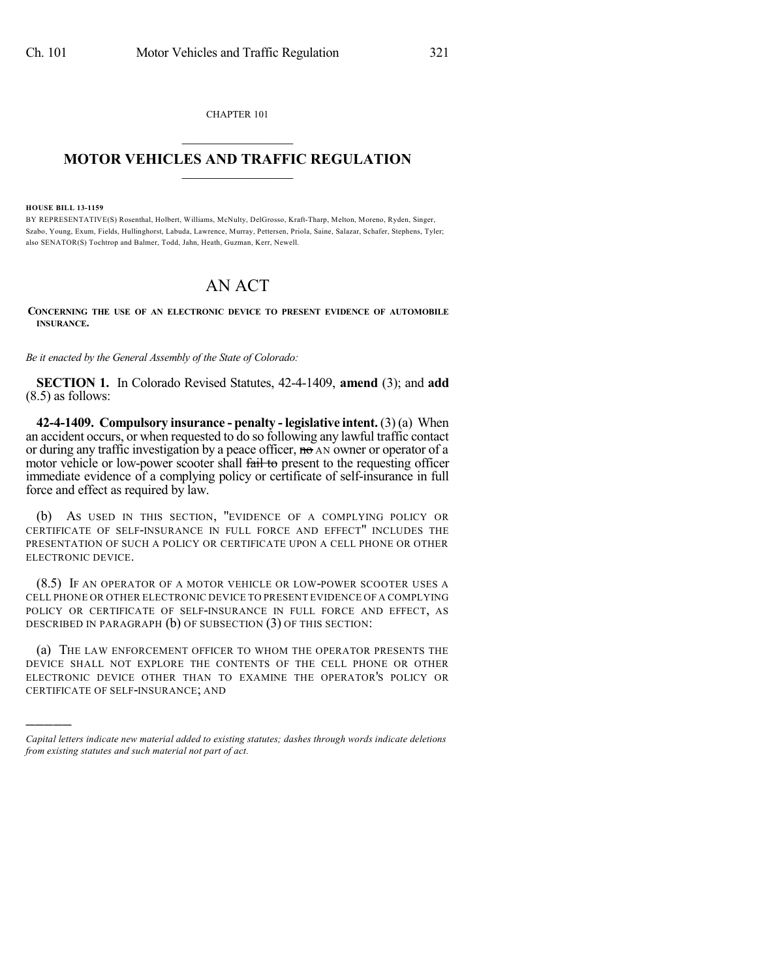CHAPTER 101

## $\overline{\phantom{a}}$  . The set of the set of the set of the set of the set of the set of the set of the set of the set of the set of the set of the set of the set of the set of the set of the set of the set of the set of the set o **MOTOR VEHICLES AND TRAFFIC REGULATION**  $\frac{1}{2}$  ,  $\frac{1}{2}$  ,  $\frac{1}{2}$  ,  $\frac{1}{2}$  ,  $\frac{1}{2}$  ,  $\frac{1}{2}$  ,  $\frac{1}{2}$

**HOUSE BILL 13-1159**

)))))

BY REPRESENTATIVE(S) Rosenthal, Holbert, Williams, McNulty, DelGrosso, Kraft-Tharp, Melton, Moreno, Ryden, Singer, Szabo, Young, Exum, Fields, Hullinghorst, Labuda, Lawrence, Murray, Pettersen, Priola, Saine, Salazar, Schafer, Stephens, Tyler; also SENATOR(S) Tochtrop and Balmer, Todd, Jahn, Heath, Guzman, Kerr, Newell.

## AN ACT

**CONCERNING THE USE OF AN ELECTRONIC DEVICE TO PRESENT EVIDENCE OF AUTOMOBILE INSURANCE.**

*Be it enacted by the General Assembly of the State of Colorado:*

**SECTION 1.** In Colorado Revised Statutes, 42-4-1409, **amend** (3); and **add** (8.5) as follows:

**42-4-1409. Compulsory insurance - penalty - legislative intent.** (3) (a) When an accident occurs, or when requested to do so following any lawful traffic contact or during any traffic investigation by a peace officer,  $\theta$  and owner or operator of a motor vehicle or low-power scooter shall fail to present to the requesting officer immediate evidence of a complying policy or certificate of self-insurance in full force and effect as required by law.

(b) AS USED IN THIS SECTION, "EVIDENCE OF A COMPLYING POLICY OR CERTIFICATE OF SELF-INSURANCE IN FULL FORCE AND EFFECT" INCLUDES THE PRESENTATION OF SUCH A POLICY OR CERTIFICATE UPON A CELL PHONE OR OTHER ELECTRONIC DEVICE.

(8.5) IF AN OPERATOR OF A MOTOR VEHICLE OR LOW-POWER SCOOTER USES A CELL PHONE OR OTHER ELECTRONIC DEVICE TO PRESENT EVIDENCE OF A COMPLYING POLICY OR CERTIFICATE OF SELF-INSURANCE IN FULL FORCE AND EFFECT, AS DESCRIBED IN PARAGRAPH (b) OF SUBSECTION (3) OF THIS SECTION:

(a) THE LAW ENFORCEMENT OFFICER TO WHOM THE OPERATOR PRESENTS THE DEVICE SHALL NOT EXPLORE THE CONTENTS OF THE CELL PHONE OR OTHER ELECTRONIC DEVICE OTHER THAN TO EXAMINE THE OPERATOR'S POLICY OR CERTIFICATE OF SELF-INSURANCE; AND

*Capital letters indicate new material added to existing statutes; dashes through words indicate deletions from existing statutes and such material not part of act.*